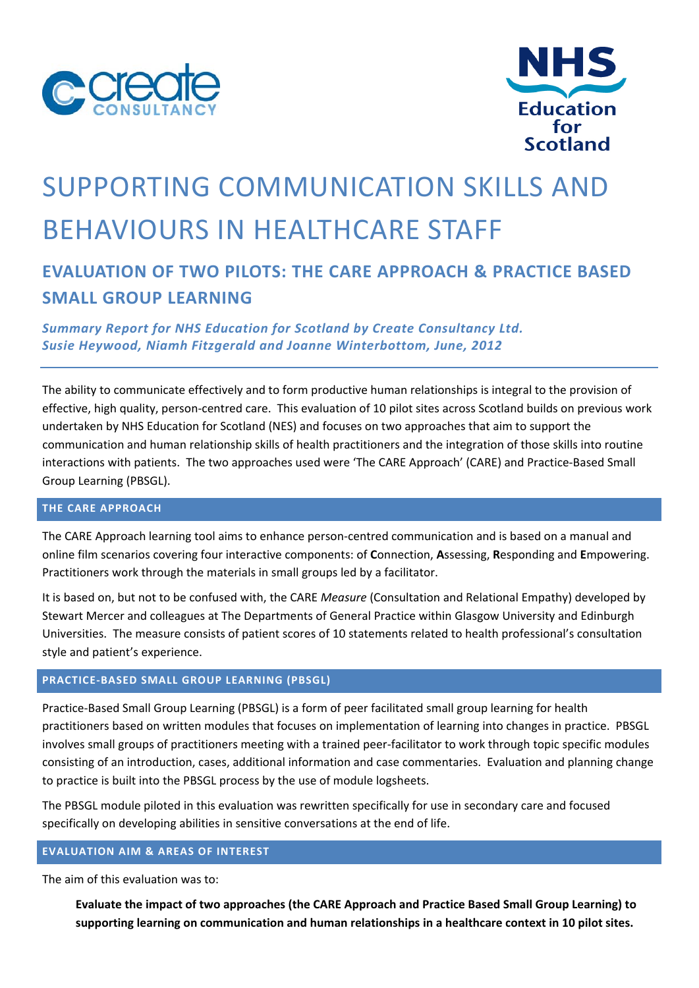



# SUPPORTING COMMUNICATION SKILLS AND BEHAVIOURS IN HEALTHCARE STAFF

# **EVALUATION OF TWO PILOTS: THE CARE APPROACH & PRACTICE BASED SMALL GROUP LEARNING**

*Summary Report for NHS Education for Scotland by Create Consultancy Ltd. Susie Heywood, Niamh Fitzgerald and Joanne Winterbottom, June, 2012*

The ability to communicate effectively and to form productive human relationships is integral to the provision of effective, high quality, person‐centred care. This evaluation of 10 pilot sites across Scotland builds on previous work undertaken by NHS Education for Scotland (NES) and focuses on two approaches that aim to support the communication and human relationship skills of health practitioners and the integration of those skills into routine interactions with patients. The two approaches used were 'The CARE Approach' (CARE) and Practice‐Based Small Group Learning (PBSGL).

## **THE CARE APPROACH**

The CARE Approach learning tool aims to enhance person-centred communication and is based on a manual and online film scenarios covering four interactive components: of **C**onnection, **A**ssessing, **R**esponding and **E**mpowering. Practitioners work through the materials in small groups led by a facilitator.

It is based on, but not to be confused with, the CARE *Measure* (Consultation and Relational Empathy) developed by Stewart Mercer and colleagues at The Departments of General Practice within Glasgow University and Edinburgh Universities. The measure consists of patient scores of 10 statements related to health professional's consultation style and patient's experience.

# **PRACTICE‐BASED SMALL GROUP LEARNING (PBSGL)**

Practice‐Based Small Group Learning (PBSGL) is a form of peer facilitated small group learning for health practitioners based on written modules that focuses on implementation of learning into changes in practice. PBSGL involves small groups of practitioners meeting with a trained peer‐facilitator to work through topic specific modules consisting of an introduction, cases, additional information and case commentaries. Evaluation and planning change to practice is built into the PBSGL process by the use of module logsheets.

The PBSGL module piloted in this evaluation was rewritten specifically for use in secondary care and focused specifically on developing abilities in sensitive conversations at the end of life.

#### **EVALUATION AIM & AREAS OF INTEREST**

The aim of this evaluation was to:

**Evaluate the impact of two approaches (the CARE Approach and Practice Based Small Group Learning) to supporting learning on communication and human relationships in a healthcare context in 10 pilot sites.**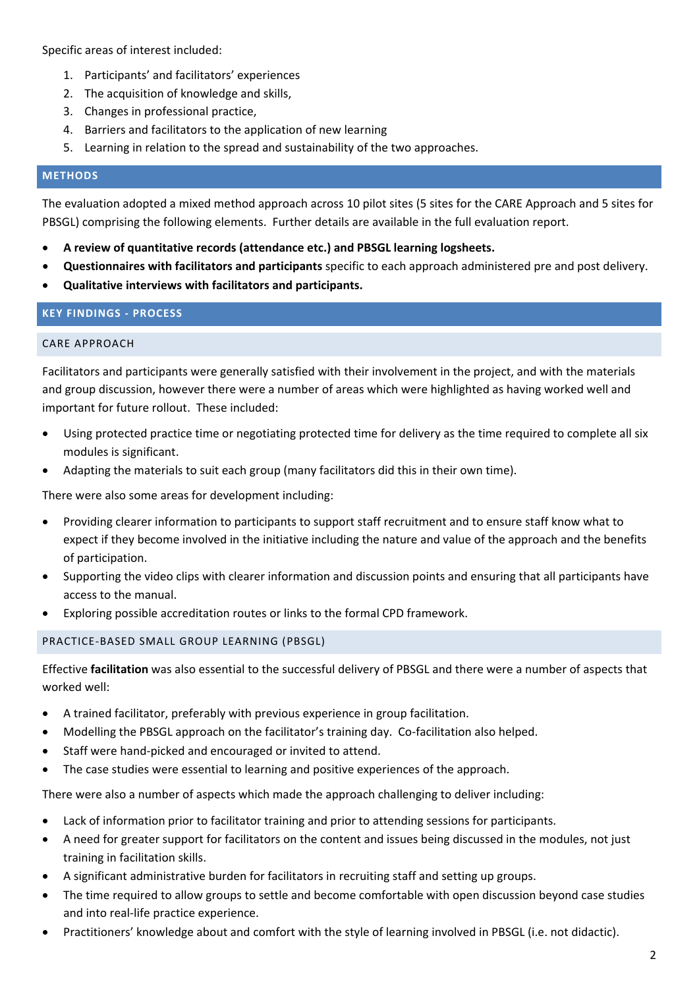Specific areas of interest included:

- 1. Participants' and facilitators' experiences
- 2. The acquisition of knowledge and skills,
- 3. Changes in professional practice,
- 4. Barriers and facilitators to the application of new learning
- 5. Learning in relation to the spread and sustainability of the two approaches.

#### **METHODS**

The evaluation adopted a mixed method approach across 10 pilot sites (5 sites for the CARE Approach and 5 sites for PBSGL) comprising the following elements. Further details are available in the full evaluation report.

- **A review of quantitative records (attendance etc.) and PBSGL learning logsheets.**
- **Questionnaires with facilitators and participants** specific to each approach administered pre and post delivery.
- **Qualitative interviews with facilitators and participants.**

# **KEY FINDINGS ‐ PROCESS**

### CARE APPROACH

Facilitators and participants were generally satisfied with their involvement in the project, and with the materials and group discussion, however there were a number of areas which were highlighted as having worked well and important for future rollout. These included:

- Using protected practice time or negotiating protected time for delivery as the time required to complete all six modules is significant.
- Adapting the materials to suit each group (many facilitators did this in their own time).

There were also some areas for development including:

- Providing clearer information to participants to support staff recruitment and to ensure staff know what to expect if they become involved in the initiative including the nature and value of the approach and the benefits of participation.
- Supporting the video clips with clearer information and discussion points and ensuring that all participants have access to the manual.
- Exploring possible accreditation routes or links to the formal CPD framework.

# PRACTICE‐BASED SMALL GROUP LEARNING (PBSGL)

Effective **facilitation** was also essential to the successful delivery of PBSGL and there were a number of aspects that worked well:

- A trained facilitator, preferably with previous experience in group facilitation.
- Modelling the PBSGL approach on the facilitator's training day. Co‐facilitation also helped.
- Staff were hand‐picked and encouraged or invited to attend.
- The case studies were essential to learning and positive experiences of the approach.

There were also a number of aspects which made the approach challenging to deliver including:

- Lack of information prior to facilitator training and prior to attending sessions for participants.
- A need for greater support for facilitators on the content and issues being discussed in the modules, not just training in facilitation skills.
- A significant administrative burden for facilitators in recruiting staff and setting up groups.
- The time required to allow groups to settle and become comfortable with open discussion beyond case studies and into real‐life practice experience.
- Practitioners' knowledge about and comfort with the style of learning involved in PBSGL (i.e. not didactic).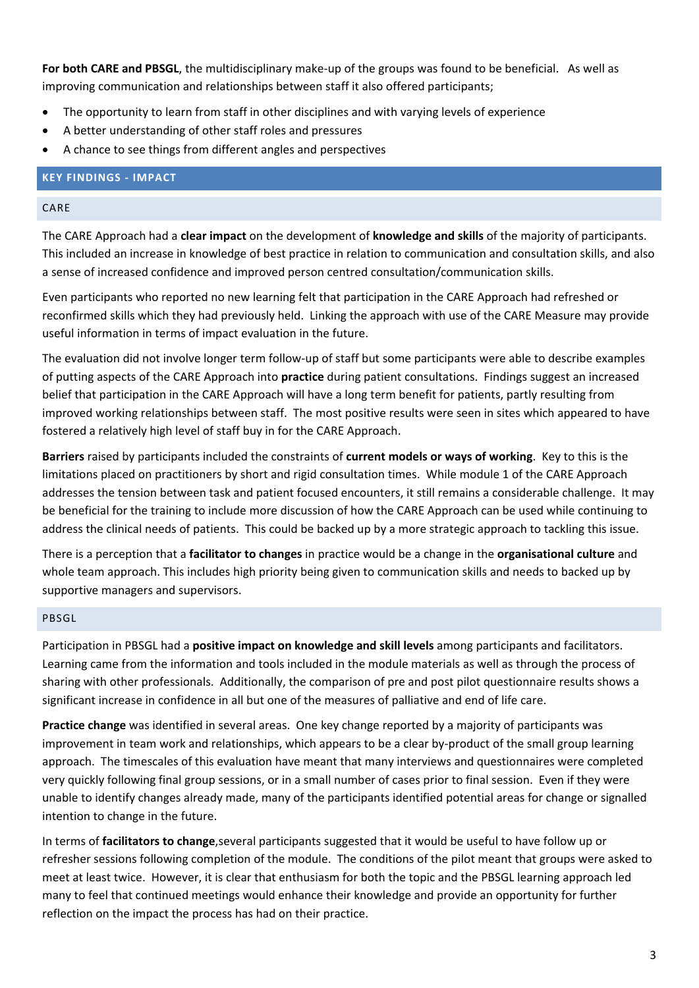**For both CARE and PBSGL**, the multidisciplinary make‐up of the groups was found to be beneficial. As well as improving communication and relationships between staff it also offered participants;

- The opportunity to learn from staff in other disciplines and with varying levels of experience
- A better understanding of other staff roles and pressures
- A chance to see things from different angles and perspectives

# **KEY FINDINGS ‐ IMPACT**

#### CARE

The CARE Approach had a **clear impact** on the development of **knowledge and skills** of the majority of participants. This included an increase in knowledge of best practice in relation to communication and consultation skills, and also a sense of increased confidence and improved person centred consultation/communication skills.

Even participants who reported no new learning felt that participation in the CARE Approach had refreshed or reconfirmed skills which they had previously held. Linking the approach with use of the CARE Measure may provide useful information in terms of impact evaluation in the future.

The evaluation did not involve longer term follow‐up of staff but some participants were able to describe examples of putting aspects of the CARE Approach into **practice** during patient consultations. Findings suggest an increased belief that participation in the CARE Approach will have a long term benefit for patients, partly resulting from improved working relationships between staff. The most positive results were seen in sites which appeared to have fostered a relatively high level of staff buy in for the CARE Approach.

**Barriers** raised by participants included the constraints of **current models or ways of working**. Key to this is the limitations placed on practitioners by short and rigid consultation times. While module 1 of the CARE Approach addresses the tension between task and patient focused encounters, it still remains a considerable challenge. It may be beneficial for the training to include more discussion of how the CARE Approach can be used while continuing to address the clinical needs of patients. This could be backed up by a more strategic approach to tackling this issue.

There is a perception that a **facilitator to changes** in practice would be a change in the **organisational culture** and whole team approach. This includes high priority being given to communication skills and needs to backed up by supportive managers and supervisors.

#### PBSGL

Participation in PBSGL had a **positive impact on knowledge and skill levels** among participants and facilitators. Learning came from the information and tools included in the module materials as well as through the process of sharing with other professionals. Additionally, the comparison of pre and post pilot questionnaire results shows a significant increase in confidence in all but one of the measures of palliative and end of life care.

**Practice change** was identified in several areas. One key change reported by a majority of participants was improvement in team work and relationships, which appears to be a clear by‐product of the small group learning approach. The timescales of this evaluation have meant that many interviews and questionnaires were completed very quickly following final group sessions, or in a small number of cases prior to final session. Even if they were unable to identify changes already made, many of the participants identified potential areas for change or signalled intention to change in the future.

In terms of **facilitators to change**,several participants suggested that it would be useful to have follow up or refresher sessions following completion of the module. The conditions of the pilot meant that groups were asked to meet at least twice. However, it is clear that enthusiasm for both the topic and the PBSGL learning approach led many to feel that continued meetings would enhance their knowledge and provide an opportunity for further reflection on the impact the process has had on their practice.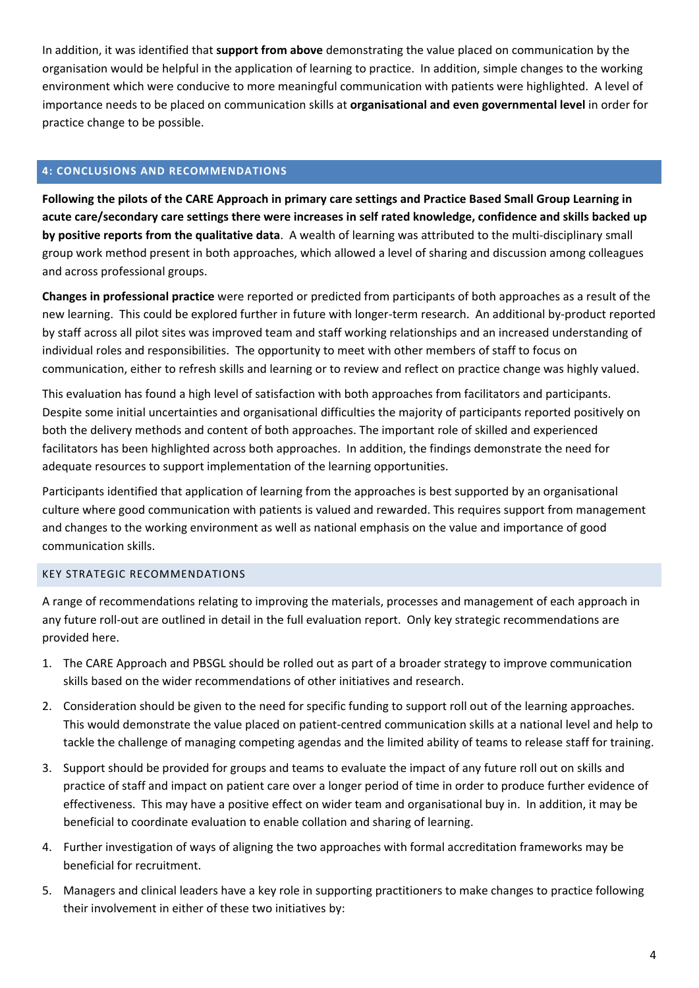In addition, it was identified that **support from above** demonstrating the value placed on communication by the organisation would be helpful in the application of learning to practice. In addition, simple changes to the working environment which were conducive to more meaningful communication with patients were highlighted. A level of importance needs to be placed on communication skills at **organisational and even governmental level** in order for practice change to be possible.

#### **4: CONCLUSIONS AND RECOMMENDATIONS**

Following the pilots of the CARE Approach in primary care settings and Practice Based Small Group Learning in **acute care/secondary care settings there were increases in self rated knowledge, confidence and skills backed up by positive reports from the qualitative data**. A wealth of learning was attributed to the multi‐disciplinary small group work method present in both approaches, which allowed a level of sharing and discussion among colleagues and across professional groups.

**Changes in professional practice** were reported or predicted from participants of both approaches as a result of the new learning. This could be explored further in future with longer-term research. An additional by-product reported by staff across all pilot sites was improved team and staff working relationships and an increased understanding of individual roles and responsibilities. The opportunity to meet with other members of staff to focus on communication, either to refresh skills and learning or to review and reflect on practice change was highly valued.

This evaluation has found a high level of satisfaction with both approaches from facilitators and participants. Despite some initial uncertainties and organisational difficulties the majority of participants reported positively on both the delivery methods and content of both approaches. The important role of skilled and experienced facilitators has been highlighted across both approaches. In addition, the findings demonstrate the need for adequate resources to support implementation of the learning opportunities.

Participants identified that application of learning from the approaches is best supported by an organisational culture where good communication with patients is valued and rewarded. This requires support from management and changes to the working environment as well as national emphasis on the value and importance of good communication skills.

#### KEY STRATEGIC RECOMMENDATIONS

A range of recommendations relating to improving the materials, processes and management of each approach in any future roll‐out are outlined in detail in the full evaluation report. Only key strategic recommendations are provided here.

- 1. The CARE Approach and PBSGL should be rolled out as part of a broader strategy to improve communication skills based on the wider recommendations of other initiatives and research.
- 2. Consideration should be given to the need for specific funding to support roll out of the learning approaches. This would demonstrate the value placed on patient‐centred communication skills at a national level and help to tackle the challenge of managing competing agendas and the limited ability of teams to release staff for training.
- 3. Support should be provided for groups and teams to evaluate the impact of any future roll out on skills and practice of staff and impact on patient care over a longer period of time in order to produce further evidence of effectiveness. This may have a positive effect on wider team and organisational buy in. In addition, it may be beneficial to coordinate evaluation to enable collation and sharing of learning.
- 4. Further investigation of ways of aligning the two approaches with formal accreditation frameworks may be beneficial for recruitment.
- 5. Managers and clinical leaders have a key role in supporting practitioners to make changes to practice following their involvement in either of these two initiatives by: